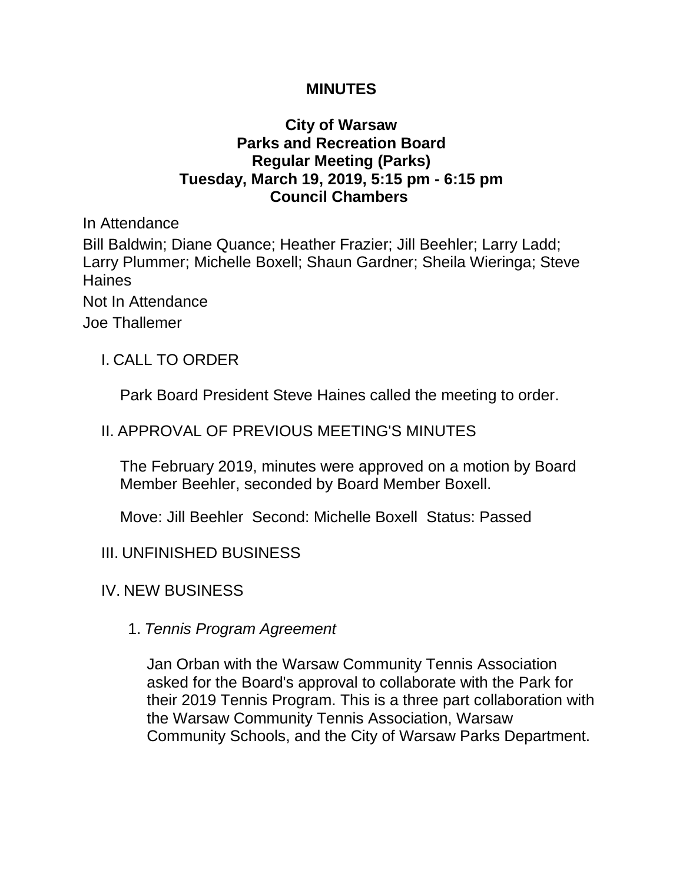### **MINUTES**

## **City of Warsaw Parks and Recreation Board Regular Meeting (Parks) Tuesday, March 19, 2019, 5:15 pm - 6:15 pm Council Chambers**

In Attendance Bill Baldwin; Diane Quance; Heather Frazier; Jill Beehler; Larry Ladd; Larry Plummer; Michelle Boxell; Shaun Gardner; Sheila Wieringa; Steve Haines Not In Attendance Joe Thallemer

I. CALL TO ORDER

Park Board President Steve Haines called the meeting to order.

# II. APPROVAL OF PREVIOUS MEETING'S MINUTES

The February 2019, minutes were approved on a motion by Board Member Beehler, seconded by Board Member Boxell.

Move: Jill Beehler Second: Michelle Boxell Status: Passed

- III. UNFINISHED BUSINESS
- IV. NEW BUSINESS
	- 1. *Tennis Program Agreement*

Jan Orban with the Warsaw Community Tennis Association asked for the Board's approval to collaborate with the Park for their 2019 Tennis Program. This is a three part collaboration with the Warsaw Community Tennis Association, Warsaw Community Schools, and the City of Warsaw Parks Department.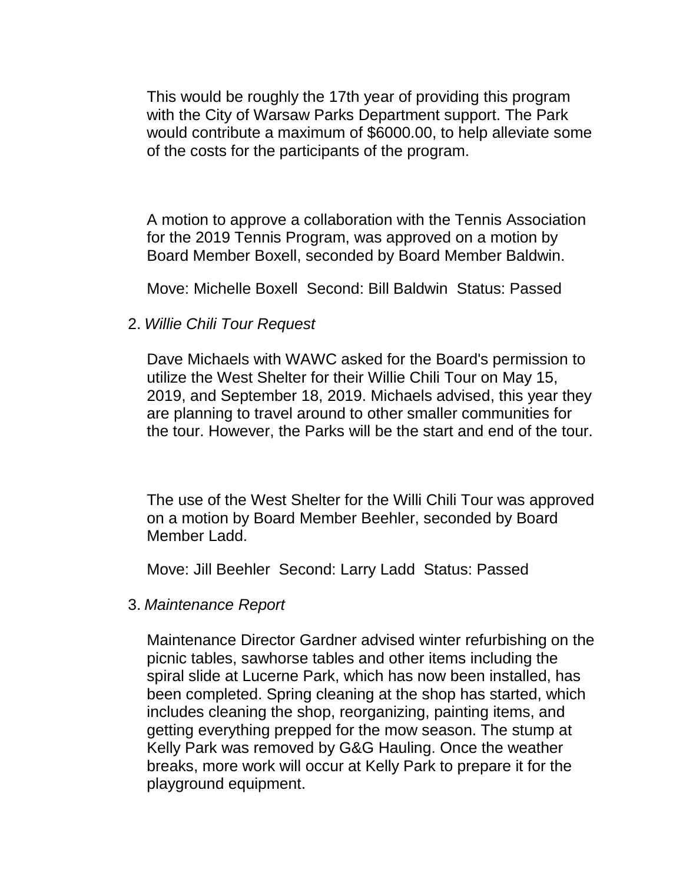This would be roughly the 17th year of providing this program with the City of Warsaw Parks Department support. The Park would contribute a maximum of \$6000.00, to help alleviate some of the costs for the participants of the program.

A motion to approve a collaboration with the Tennis Association for the 2019 Tennis Program, was approved on a motion by Board Member Boxell, seconded by Board Member Baldwin.

Move: Michelle Boxell Second: Bill Baldwin Status: Passed

2. *Willie Chili Tour Request* 

Dave Michaels with WAWC asked for the Board's permission to utilize the West Shelter for their Willie Chili Tour on May 15, 2019, and September 18, 2019. Michaels advised, this year they are planning to travel around to other smaller communities for the tour. However, the Parks will be the start and end of the tour.

The use of the West Shelter for the Willi Chili Tour was approved on a motion by Board Member Beehler, seconded by Board Member Ladd.

Move: Jill Beehler Second: Larry Ladd Status: Passed

3. *Maintenance Report* 

Maintenance Director Gardner advised winter refurbishing on the picnic tables, sawhorse tables and other items including the spiral slide at Lucerne Park, which has now been installed, has been completed. Spring cleaning at the shop has started, which includes cleaning the shop, reorganizing, painting items, and getting everything prepped for the mow season. The stump at Kelly Park was removed by G&G Hauling. Once the weather breaks, more work will occur at Kelly Park to prepare it for the playground equipment.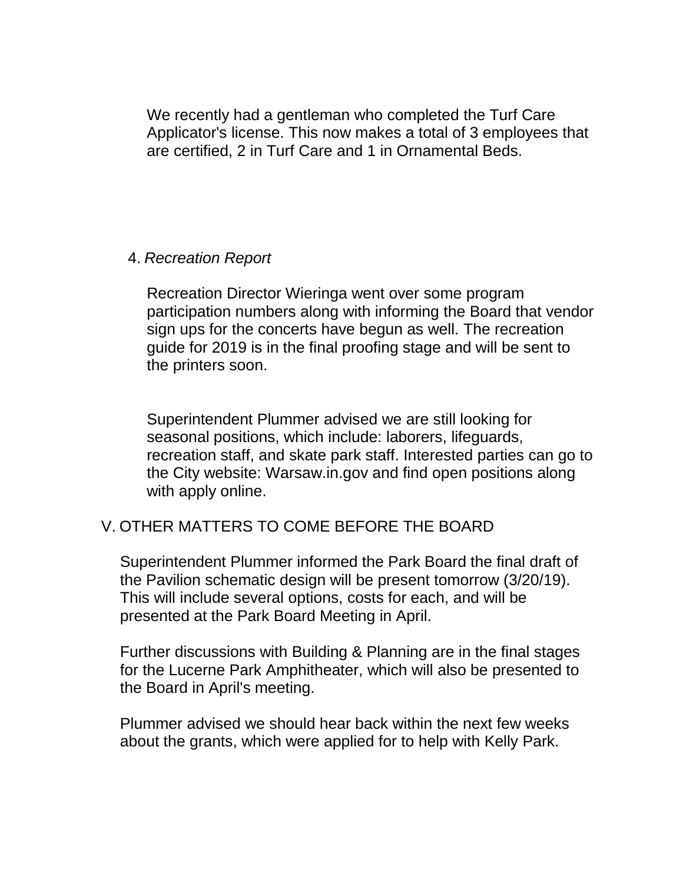We recently had a gentleman who completed the Turf Care Applicator's license. This now makes a total of 3 employees that are certified, 2 in Turf Care and 1 in Ornamental Beds.

#### 4. *Recreation Report*

Recreation Director Wieringa went over some program participation numbers along with informing the Board that vendor sign ups for the concerts have begun as well. The recreation guide for 2019 is in the final proofing stage and will be sent to the printers soon.

Superintendent Plummer advised we are still looking for seasonal positions, which include: laborers, lifeguards, recreation staff, and skate park staff. Interested parties can go to the City website: Warsaw.in.gov and find open positions along with apply online.

# V. OTHER MATTERS TO COME BEFORE THE BOARD

Superintendent Plummer informed the Park Board the final draft of the Pavilion schematic design will be present tomorrow (3/20/19). This will include several options, costs for each, and will be presented at the Park Board Meeting in April.

Further discussions with Building & Planning are in the final stages for the Lucerne Park Amphitheater, which will also be presented to the Board in April's meeting.

Plummer advised we should hear back within the next few weeks about the grants, which were applied for to help with Kelly Park.